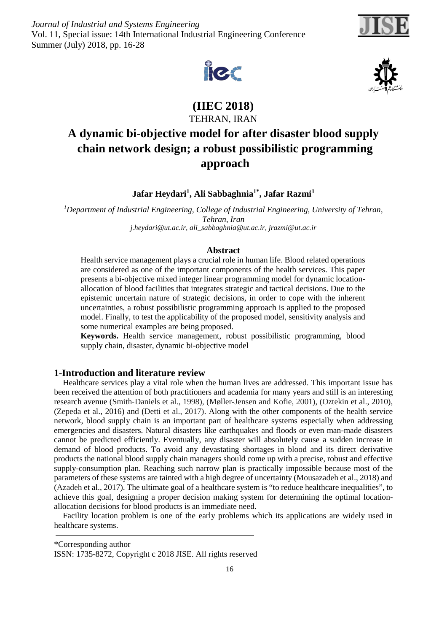*Journal of Industrial and Systems Engineering* Vol. 11, Special issue: 14th International Industrial Engineering Conference Summer (July) 2018, pp. 16-28





**(IIEC 2018)** TEHRAN, IRAN

# **A dynamic bi-objective model for after disaster blood supply chain network design; a robust possibilistic programming approach**

**Jafar Heydari1, Ali Sabbaghnia1\*, Jafar Razmi1**

*1 Department of Industrial Engineering, College of Industrial Engineering, University of Tehran, Tehran, Iran [j.heydari@ut.ac.ir,](mailto:j.heydari@ut.ac.ir) [ali\\_sabbaghnia@ut.ac.ir,](mailto:ali_sabbaghnia@ut.ac.ir) jrazmi@ut.ac.ir*

## **Abstract**

Health service management plays a crucial role in human life. Blood related operations are considered as one of the important components of the health services. This paper presents a bi-objective mixed integer linear programming model for dynamic locationallocation of blood facilities that integrates strategic and tactical decisions. Due to the epistemic uncertain nature of strategic decisions, in order to cope with the inherent uncertainties, a robust possibilistic programming approach is applied to the proposed model. Finally, to test the applicability of the proposed model, sensitivity analysis and some numerical examples are being proposed.

**Keywords.** Health service management, robust possibilistic programming, blood supply chain, disaster, dynamic bi-objective model

## **1-Introduction and literature review**

Healthcare services play a vital role when the human lives are addressed. This important issue has been received the attention of both practitioners and academia for many years and still is an interesting research avenue (Smith‐Daniels et al., 1998), (Møller-Jensen and Kofie, 2001), (Oztekin et al., 2010), (Zepeda et al., 2016) and (Detti et al., 2017). Along with the other components of the health service network, blood supply chain is an important part of healthcare systems especially when addressing emergencies and disasters. Natural disasters like earthquakes and floods or even man-made disasters cannot be predicted efficiently. Eventually, any disaster will absolutely cause a sudden increase in demand of blood products. To avoid any devastating shortages in blood and its direct derivative products the national blood supply chain managers should come up with a precise, robust and effective supply-consumption plan. Reaching such narrow plan is practically impossible because most of the parameters of these systems are tainted with a high degree of uncertainty (Mousazadeh et al., 2018) and (Azadeh et al., 2017). The ultimate goal of a healthcare system is "to reduce healthcare inequalities", to achieve this goal, designing a proper decision making system for determining the optimal locationallocation decisions for blood products is an immediate need.

Facility location problem is one of the early problems which its applications are widely used in healthcare systems.

\*Corresponding author



ISSN: 1735-8272, Copyright c 2018 JISE. All rights reserved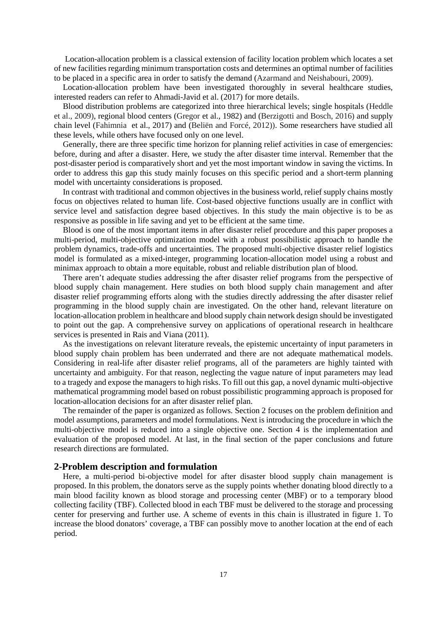Location-allocation problem is a classical extension of facility location problem which locates a set of new facilities regarding minimum transportation costs and determines an optimal number of facilities to be placed in a specific area in order to satisfy the demand (Azarmand and Neishabouri, 2009).

Location-allocation problem have been investigated thoroughly in several healthcare studies, interested readers can refer to Ahmadi-Javid et al. (2017) for more details.

Blood distribution problems are categorized into three hierarchical levels; single hospitals (Heddle et al., 2009), regional blood centers (Gregor et al., 1982) and (Berzigotti and Bosch, 2016) and supply chain level (Fahimnia et al., 2017) and (Beliën and Forcé, 2012)). Some researchers have studied all these levels, while others have focused only on one level.

Generally, there are three specific time horizon for planning relief activities in case of emergencies: before, during and after a disaster. Here, we study the after disaster time interval. Remember that the post-disaster period is comparatively short and yet the most important window in saving the victims. In order to address this gap this study mainly focuses on this specific period and a short-term planning model with uncertainty considerations is proposed.

In contrast with traditional and common objectives in the business world, relief supply chains mostly focus on objectives related to human life. Cost-based objective functions usually are in conflict with service level and satisfaction degree based objectives. In this study the main objective is to be as responsive as possible in life saving and yet to be efficient at the same time.

Blood is one of the most important items in after disaster relief procedure and this paper proposes a multi-period, multi-objective optimization model with a robust possibilistic approach to handle the problem dynamics, trade-offs and uncertainties. The proposed multi-objective disaster relief logistics model is formulated as a mixed-integer, programming location-allocation model using a robust and minimax approach to obtain a more equitable, robust and reliable distribution plan of blood.

There aren't adequate studies addressing the after disaster relief programs from the perspective of blood supply chain management. Here studies on both blood supply chain management and after disaster relief programming efforts along with the studies directly addressing the after disaster relief programming in the blood supply chain are investigated. On the other hand, relevant literature on location-allocation problem in healthcare and blood supply chain network design should be investigated to point out the gap. A comprehensive survey on applications of operational research in healthcare services is presented in Rais and Viana (2011).

As the investigations on relevant literature reveals, the epistemic uncertainty of input parameters in blood supply chain problem has been underrated and there are not adequate mathematical models. Considering in real-life after disaster relief programs, all of the parameters are highly tainted with uncertainty and ambiguity. For that reason, neglecting the vague nature of input parameters may lead to a tragedy and expose the managers to high risks. To fill out this gap, a novel dynamic multi-objective mathematical programming model based on robust possibilistic programming approach is proposed for location-allocation decisions for an after disaster relief plan.

The remainder of the paper is organized as follows. Section 2 focuses on the problem definition and model assumptions, parameters and model formulations. Next is introducing the procedure in which the multi-objective model is reduced into a single objective one. Section 4 is the implementation and evaluation of the proposed model. At last, in the final section of the paper conclusions and future research directions are formulated.

#### **2-Problem description and formulation**

Here, a multi-period bi-objective model for after disaster blood supply chain management is proposed. In this problem, the donators serve as the supply points whether donating blood directly to a main blood facility known as blood storage and processing center (MBF) or to a temporary blood collecting facility (TBF). Collected blood in each TBF must be delivered to the storage and processing center for preserving and further use. A scheme of events in this chain is illustrated in figure 1. To increase the blood donators' coverage, a TBF can possibly move to another location at the end of each period.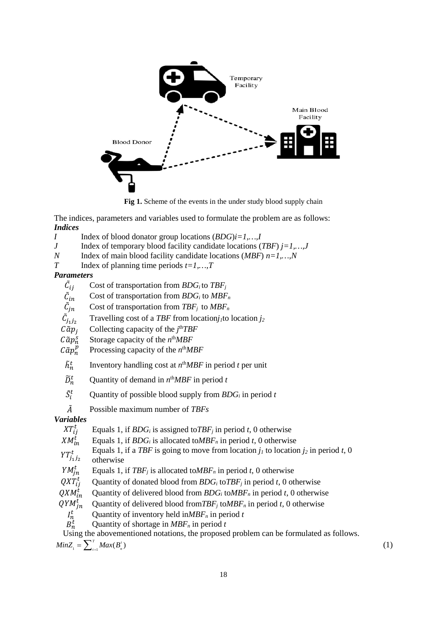

**Fig 1.** Scheme of the events in the under study blood supply chain

The indices, parameters and variables used to formulate the problem are as follows: *Indices*

- *I* Index of blood donator group locations  $(BDG)i=1,...,I$ <br>*J* Index of temporary blood facility candidate locations (
- *J* Index of temporary blood facility candidate locations (*TBF*) *j*=1,...,*J* Index of main blood facility candidate locations (*MBF*)  $n=1,...,N$
- *N* Index of main blood facility candidate locations (*MBF*)  $n=1,...,N$ <br>*T* Index of planning time periods  $t=1$  *T*
- Index of planning time periods  $t=1,...,T$

#### *Parameters*

- $\tilde{c}_{ij}$ Cost of transportation from *BDGi* to *TBFj*
- $\tilde{\tilde{\mathcal{C}}}_{in}$ Cost of transportation from *BDG<sub>i</sub>* to *MBF<sub>n</sub>*
- Cost of transportation from  $TBF_j$  to  $MBF_n$
- $\tilde{\mathcal{C}}_{j_1j_2}$  $\tilde{C}_{j_1 j_2}$  Travelling cost of a *TBF* from location*j*<sub>1</sub> to location *j*<sub>2</sub><br> $C \tilde{\alpha} p_j$  Collecting capacity of the *j*<sup>th</sup>*TBF*
- $C\tilde{\alpha}p_j$  Collecting capacity of the  $j^{\text{th}}TBF$
- 
- $C\tilde{a}p_n^s$  Storage capacity of the *n*<sup>th</sup>*MBF*<br> $C\tilde{a}p_n^p$  Processing capacity of the *n*<sup>th</sup>*M* � Processing capacity of the *n*th*MBF*
- $\tilde{h}^t_n$  Inventory handling cost at  $n^{\text{th}}MBF$  in period *t* per unit
- $\widetilde{D}_n^t$  Quantity of demand in  $n^{\text{th}}MBF$  in period *t*
- $S_i'$ Quantity of possible blood supply from *BDGi* in period *t*
- ̃ Possible maximum number of *TBFs*

# *Variables*

- $XT_{ii}^t$ Equals 1, if  $B\ddot{\text{D}}G_i$  is assigned to  $TBF_j$  in period *t*, 0 otherwise
- $XM_{in}^t$ Equals 1, if  $BDG_i$  is allocated to *MBF<sub>n</sub>* in period *t*, 0 otherwise
- $YT_{i_1 i_2}^t$ Equals 1, if a *TBF* is going to move from location  $j_l$  to location  $j_2$  in period *t*, 0 otherwise
- $YM_{in}^t$  Equals 1, if *TBF<sub>j</sub>* is allocated to *MBF<sub>n</sub>* in period *t*, 0 otherwise
- $QXT_{ii}^t$ Quantity of donated blood from  $B\ddot{D}G_i$  to  $TBF_j$  in period *t*, 0 otherwise
- Quantity of delivered blood from  $B\ddot{D}G_i$  to  $MBF_n$  in period *t*, 0 otherwise
- $QXM_{in}^t$ <br> $QYM_{in}^t$ Quantity of delivered blood from  $TBF_j$  to  $MBF_n$  in period *t*, 0 otherwise
	- $I_n^t$  Quantity of inventory held in *MBF<sub>n</sub>* in period *t*<br> $B_n^t$  Quantity of shortage in *MBF<sub>n</sub>* in period *t*
	- Quantity of shortage in  $MBF_n$  in period  $t$

Using the abovementioned notations, the proposed problem can be formulated as follows.

 $MinZ_1 = \sum_{i=1}^{T} Max(B_i^t)$  (1)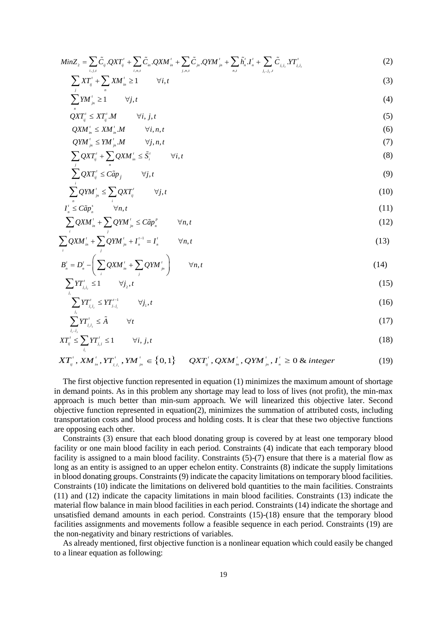$$
MinZ_{2} = \sum_{i,j,t} \tilde{C}_{ij} . QXT_{ij}^{\prime} + \sum_{i,n,t} \tilde{C}_{in} . QXM_{in}^{\prime} + \sum_{j,n,t} \tilde{C}_{jn} . QYM_{jn}^{\prime} + \sum_{n,t} \tilde{h}_{n}^{t} . I_{n}^{\prime} + \sum_{j_{1},j_{2},t} \tilde{C}_{j_{1}j_{2}} . PT_{j_{1}j_{2}}^{\prime}
$$
(2)

$$
\sum X T_{ij}^{\prime} + \sum X M_{in}^{\prime} \ge 1 \qquad \forall i, t
$$
 (3)

$$
\sum_{j=1}^{j} YM_{j=1}^{\prime} \geq 1 \qquad \forall j, t \tag{4}
$$

$$
\mathcal{Q}XT_{ij}^{\prime}\leq XT_{ij}^{\prime}.M\qquad\forall i,j,t\tag{5}
$$

$$
QXM_{in}^{t} \leq XM_{in}^{t}M \qquad \forall i, n, t
$$
\n
$$
QYM_{in}^{t} \leq YM_{in}^{t}M \qquad \forall j, n, t
$$
\n
$$
(7)
$$

$$
\sum_{i}^{\mu} Q X T_{ij}^{\prime} + \sum_{i}^{\mu} Q X M_{in}^{\prime} \leq \tilde{S}_{i}^{\prime} \qquad \forall i, t
$$
\n(8)

$$
\sum_{j}^{j} QXT_{ij}^{t} \leq C\tilde{a}p_{j} \qquad \forall j, t
$$
\n(9)

$$
\sum_{n=1}^{i} QYM_{n}^{t} \le \sum_{i} QXT_{ij}^{t} \qquad \forall j, t
$$
\n(10)

$$
I_n^{\prime} \leq C\tilde{a}p_n^s \qquad \forall n, t
$$
 (11)

$$
\sum_{i} QXM'_{in} + \sum_{j} QYM'_{jn} \leq C\tilde{a}p''_{n} \qquad \forall n, t
$$
\n(12)

$$
\sum_{i} QXM_{in}^{t} + \sum_{j} QYM_{jn}^{t} + I_{n}^{t-1} = I_{n}^{t} \qquad \forall n, t
$$
\n(13)

$$
B'_{n} = D'_{n} - \left(\sum_{i} QXM'_{in} + \sum_{j} QYM'_{jn}\right) \qquad \forall n, t
$$
\n(14)

$$
\sum_{j_1} Y T'_{j_1 j_2} \le 1 \qquad \forall j_2, t \tag{15}
$$

$$
\sum_{j_2} Y T'_{j_1 j_2} \le Y T'^{-1}_{j_1 j_1} \qquad \forall j_1, t \tag{16}
$$

$$
\sum_{j_1, j_2} Y T'_{j_1 j_2} \leq \tilde{A} \qquad \forall t \tag{17}
$$

$$
XT_{ij}^t \le \sum_{j_i}YT_{j,j}^t \le 1 \qquad \forall i, j, t \tag{18}
$$

$$
XT''_{ij}, XM'_{i,j},YT'_{i,j}^{'},YM'_{j,i} \in \{0,1\} \quad QXT''_{ij},QXM'_{i,j},QYM'_{j,n},I'_{i} \geq 0 \& integer
$$
 (19)

The first objective function represented in equation (1) minimizes the maximum amount of shortage in demand points. As in this problem any shortage may lead to loss of lives (not profit), the min-max approach is much better than min-sum approach. We will linearized this objective later. Second objective function represented in equation(2), minimizes the summation of attributed costs, including transportation costs and blood process and holding costs. It is clear that these two objective functions are opposing each other.

Constraints (3) ensure that each blood donating group is covered by at least one temporary blood facility or one main blood facility in each period. Constraints (4) indicate that each temporary blood facility is assigned to a main blood facility. Constraints (5)-(7) ensure that there is a material flow as long as an entity is assigned to an upper echelon entity. Constraints (8) indicate the supply limitations in blood donating groups. Constraints (9) indicate the capacity limitations on temporary blood facilities. Constraints (10) indicate the limitations on delivered bold quantities to the main facilities. Constraints (11) and (12) indicate the capacity limitations in main blood facilities. Constraints (13) indicate the material flow balance in main blood facilities in each period. Constraints (14) indicate the shortage and unsatisfied demand amounts in each period. Constraints (15)-(18) ensure that the temporary blood facilities assignments and movements follow a feasible sequence in each period. Constraints (19) are the non-negativity and binary restrictions of variables.

As already mentioned, first objective function is a nonlinear equation which could easily be changed to a linear equation as following: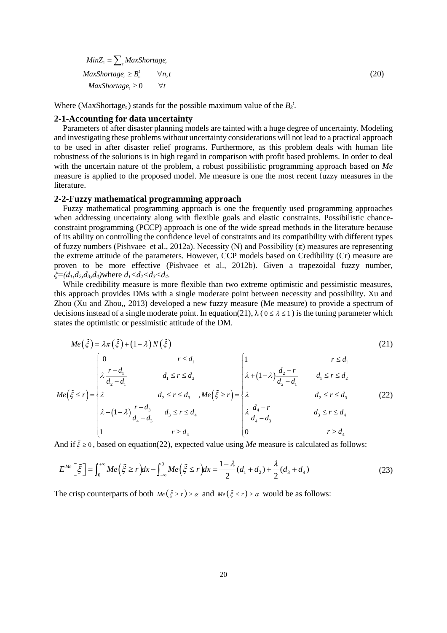$MinZ_1 = \sum_{t} MaxShortage_t$  $MaxShortage_t \geq B_n^t$   $\forall n, t$  $MaxShortage_t \geq 0 \qquad \forall t$ 

Where (MaxShortage<sub>t</sub>) stands for the possible maximum value of the  $B_k^t$ .

#### **2-1-Accounting for data uncertainty**

Parameters of after disaster planning models are tainted with a huge degree of uncertainty. Modeling and investigating these problems without uncertainty considerations will not lead to a practical approach to be used in after disaster relief programs. Furthermore, as this problem deals with human life robustness of the solutions is in high regard in comparison with profit based problems. In order to deal with the uncertain nature of the problem, a robust possibilistic programming approach based on *Me* measure is applied to the proposed model. Me measure is one the most recent fuzzy measures in the literature.

(20)

## **2-2-Fuzzy mathematical programming approach**

Fuzzy mathematical programming approach is one the frequently used programming approaches when addressing uncertainty along with flexible goals and elastic constraints. Possibilistic chanceconstraint programming (PCCP) approach is one of the wide spread methods in the literature because of its ability on controlling the confidence level of constraints and its compatibility with different types of fuzzy numbers (Pishvaee et al., 2012a). Necessity (N) and Possibility  $(\pi)$  measures are representing the extreme attitude of the parameters. However, CCP models based on Credibility (Cr) measure are proven to be more effective (Pishvaee et al., 2012b). Given a trapezoidal fuzzy number, *ξ=(d1,d2,d3,d4)*where *d1<d2<d3<d4*.

While credibility measure is more flexible than two extreme optimistic and pessimistic measures, this approach provides DMs with a single moderate point between necessity and possibility. Xu and Zhou (Xu and Zhou,, 2013) developed a new fuzzy measure (Me measure) to provide a spectrum of decisions instead of a single moderate point. In equation(21),  $\lambda$  ( $0 \le \lambda \le 1$ ) is the tuning parameter which states the optimistic or pessimistic attitude of the DM.

$$
Me(\tilde{\xi}) = \lambda \pi (\tilde{\xi}) + (1 - \lambda) N (\tilde{\xi})
$$
\n
$$
P \le d_1
$$
\n
$$
Me(\tilde{\xi} \le r) = \begin{cases}\n0 & r \le d_1 \\
\lambda \frac{r - d_1}{d_2 - d_1} & d_1 \le r \le d_2 \\
\lambda & d_2 \le r \le d_3 \\
\lambda + (1 - \lambda) \frac{r - d_3}{d_4 - d_3} & d_3 \le r \le d_4\n\end{cases}
$$
\n
$$
Me(\tilde{\xi} \ge r) = \begin{cases}\n1 & r \le d_1 \\
\lambda + (1 - \lambda) \frac{d_2 - r}{d_2 - d_1} & d_1 \le r \le d_2 \\
\lambda & d_2 \le r \le d_3 \\
\lambda \frac{d_4 - r}{d_4 - d_3} & d_3 \le r \le d_4 \\
0 & r \ge d_4\n\end{cases}
$$
\n(21)

And if  $\zeta \ge 0$ , based on equation(22), expected value using *Me* measure is calculated as follows:

$$
E^{Me}\left[\tilde{\xi}\right] = \int_0^{+\infty} Me\left(\tilde{\xi} \ge r\right) dx - \int_{-\infty}^0 Me\left(\tilde{\xi} \le r\right) dx = \frac{1-\lambda}{2} (d_1 + d_2) + \frac{\lambda}{2} (d_3 + d_4)
$$
\n(23)

The crisp counterparts of both  $Me(\xi \ge r) \ge \alpha$  and  $Me(\xi \le r) \ge \alpha$  would be as follows: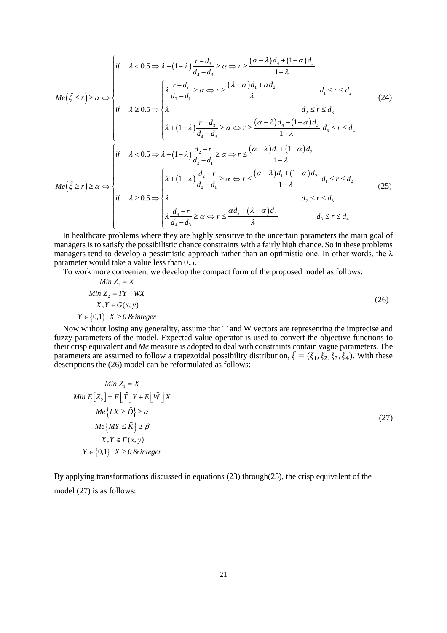$$
Me(\tilde{\xi} \le r) \ge \alpha \Leftrightarrow \begin{cases} \text{if } \lambda < 0.5 \Rightarrow \lambda + (1 - \lambda) \frac{r - d_3}{d_4 - d_3} \ge \alpha \Rightarrow r \ge \frac{(\alpha - \lambda) d_4 + (1 - \alpha) d_3}{1 - \lambda} \\ & \downarrow 1 - \lambda \\ \text{if } \lambda \ge 0.5 \Rightarrow \begin{cases} \lambda \frac{r - d_1}{d_2 - d_1} \ge \alpha \Leftrightarrow r \ge \frac{(\lambda - \alpha) d_1 + \alpha d_2}{\lambda} \\ & d_1 \le r \le d_2 \end{cases} \end{cases} \tag{24}
$$
\n
$$
Me(\tilde{\xi} \ge r) \ge \alpha \Leftrightarrow \begin{cases} \text{if } \lambda < 0.5 \Rightarrow \lambda + (1 - \lambda) \frac{r - d_3}{d_4 - d_3} \ge \alpha \Leftrightarrow r \ge \frac{(\alpha - \lambda) d_4 + (1 - \alpha) d_3}{1 - \lambda} d_3 \le r \le d_4 \\ & d_2 \le r \le d_3 \end{cases}
$$
\n
$$
Me(\tilde{\xi} \ge r) \ge \alpha \Leftrightarrow \begin{cases} \text{if } \lambda < 0.5 \Rightarrow \lambda + (1 - \lambda) \frac{d_2 - r}{d_2 - d_1} \ge \alpha \Leftrightarrow r \le \frac{(\alpha - \lambda) d_1 + (1 - \alpha) d_2}{1 - \lambda} \\ & d_1 \le r \le d_2 \\ & d_2 \le r \le d_3 \end{cases} \tag{25}
$$
\n
$$
We(\tilde{\xi} \ge r) \ge \alpha \Leftrightarrow \begin{cases} \lambda + (1 - \lambda) \frac{d_2 - r}{d_2 - d_1} \ge \alpha \Leftrightarrow r \le \frac{(\alpha - \lambda) d_1 + (1 - \alpha) d_2}{1 - \lambda} d_1 \le r \le d_2 \\ & d_2 \le r \le d_3 \\ & d_2 \le r \le d_3 \end{cases} \tag{25}
$$

In healthcare problems where they are highly sensitive to the uncertain parameters the main goal of managers is to satisfy the possibilistic chance constraints with a fairly high chance. So in these problems managers tend to develop a pessimistic approach rather than an optimistic one. In other words, the  $\lambda$ parameter would take a value less than 0.5.

To work more convenient we develop the compact form of the proposed model as follows:

Min 
$$
Z_1 = X
$$
  
\nMin  $Z_2 = TY + WX$   
\n $X, Y \in G(x, y)$   
\n $Y \in \{0,1\} \quad X \ge 0 \quad \& \text{integer}$  (26)

Now without losing any generality, assume that T and W vectors are representing the imprecise and fuzzy parameters of the model. Expected value operator is used to convert the objective functions to their crisp equivalent and *Me* measure is adopted to deal with constraints contain vague parameters. The parameters are assumed to follow a trapezoidal possibility distribution,  $\tilde{\xi} = (\xi_1, \xi_2, \xi_3, \xi_4)$ . With these descriptions the (26) model can be reformulated as follows:

$$
Min Z_1 = X
$$
  
\n
$$
Min E[Z_2] = E[\tilde{T}]Y + E[\tilde{W}]X
$$
  
\n
$$
Me{LX \ge \tilde{D} \ge \alpha
$$
  
\n
$$
Me{MY \le \tilde{K} \ge \beta}
$$
  
\n
$$
X, Y \in F(x, y)
$$
  
\n
$$
Y \in \{0,1\} \quad X \ge 0 \& integer
$$
  
\n(27)

By applying transformations discussed in equations (23) through(25), the crisp equivalent of the model (27) is as follows: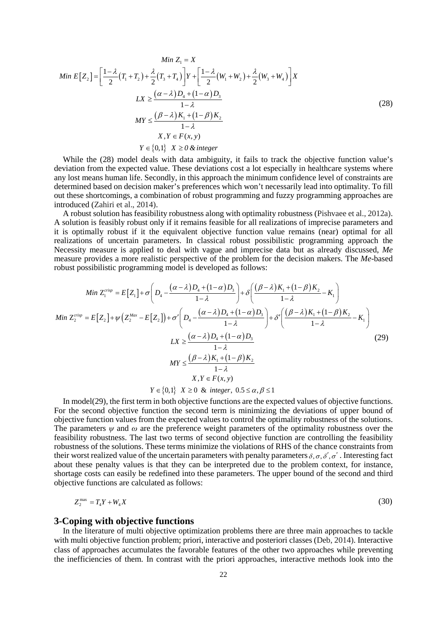$$
Min Z_1 = X
$$
  
\n
$$
Min E[Z_2] = \left[\frac{1-\lambda}{2}(T_1 + T_2) + \frac{\lambda}{2}(T_3 + T_4)\right]Y + \left[\frac{1-\lambda}{2}(W_1 + W_2) + \frac{\lambda}{2}(W_3 + W_4)\right]X
$$
  
\n
$$
LX \ge \frac{(\alpha - \lambda)D_4 + (1 - \alpha)D_3}{1 - \lambda}
$$
  
\n
$$
MY \le \frac{(\beta - \lambda)K_1 + (1 - \beta)K_2}{1 - \lambda}
$$
  
\n
$$
X, Y \in F(x, y)
$$
  
\n
$$
Y \in \{0, 1\} \quad X \ge 0 \quad \& \text{integer}
$$
\n(28)

While the (28) model deals with data ambiguity, it fails to track the objective function value's deviation from the expected value. These deviations cost a lot especially in healthcare systems where any lost means human life. Secondly, in this approach the minimum confidence level of constraints are determined based on decision maker's preferences which won't necessarily lead into optimality. To fill out these shortcomings, a combination of robust programming and fuzzy programming approaches are introduced (Zahiri et al., 2014).

A robust solution has feasibility robustness along with optimality robustness (Pishvaee et al., 2012a). A solution is feasibly robust only if it remains feasible for all realizations of imprecise parameters and it is optimally robust if it the equivalent objective function value remains (near) optimal for all realizations of uncertain parameters. In classical robust possibilistic programming approach the Necessity measure is applied to deal with vague and imprecise data but as already discussed, *Me* measure provides a more realistic perspective of the problem for the decision makers. The *Me*-based robust possibilistic programming model is developed as follows:

$$
Min Z_1^{crisp} = E[Z_1] + \sigma \left( D_4 - \frac{(\alpha - \lambda)D_4 + (1 - \alpha)D_3}{1 - \lambda} \right) + \delta \left( \frac{(\beta - \lambda)K_1 + (1 - \beta)K_2}{1 - \lambda} - K_1 \right)
$$
  
\n
$$
Min Z_2^{crisp} = E[Z_2] + \psi \left( Z_2^{Max} - E[Z_2] \right) + \sigma' \left( D_4 - \frac{(\alpha - \lambda)D_4 + (1 - \alpha)D_3}{1 - \lambda} \right) + \delta' \left( \frac{(\beta - \lambda)K_1 + (1 - \beta)K_2}{1 - \lambda} - K_1 \right)
$$
  
\n
$$
LX \ge \frac{(\alpha - \lambda)D_4 + (1 - \alpha)D_3}{1 - \lambda}
$$
  
\n
$$
MY \le \frac{(\beta - \lambda)K_1 + (1 - \beta)K_2}{1 - \lambda}
$$
  
\n
$$
X, Y \in F(x, y)
$$
  
\n
$$
Y \in \{0, 1\} \quad X \ge 0 \quad \& \text{ integer, } 0.5 \le \alpha, \beta \le 1
$$
\n(29)

In model(29), the first term in both objective functions are the expected values of objective functions. For the second objective function the second term is minimizing the deviations of upper bound of objective function values from the expected values to control the optimality robustness of the solutions. The parameters  $\psi$  and  $\omega$  are the preference weight parameters of the optimality robustness over the feasibility robustness. The last two terms of second objective function are controlling the feasibility robustness of the solutions. These terms minimize the violations of RHS of the chance constraints from their worst realized value of the uncertain parameters with penalty parameters  $\delta, \sigma, \delta', \sigma'$ . Interesting fact about these penalty values is that they can be interpreted due to the problem context, for instance, shortage costs can easily be redefined into these parameters. The upper bound of the second and third objective functions are calculated as follows:

$$
Z_2^{\max} = T_4 Y + W_4 X \tag{30}
$$

### **3-Coping with objective functions**

In the literature of multi objective optimization problems there are three main approaches to tackle with multi objective function problem; priori, interactive and posteriori classes (Deb, 2014). Interactive class of approaches accumulates the favorable features of the other two approaches while preventing the inefficiencies of them. In contrast with the priori approaches, interactive methods look into the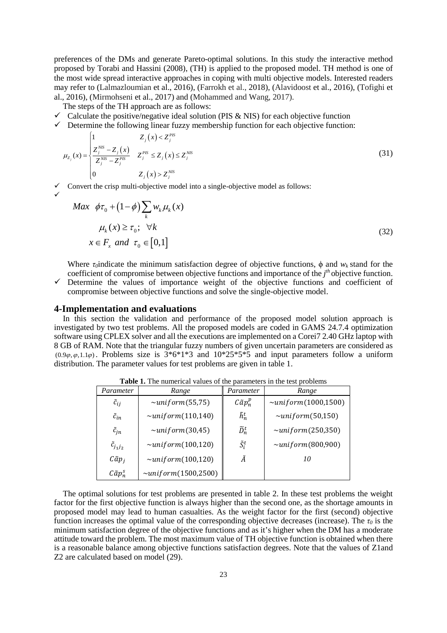preferences of the DMs and generate Pareto-optimal solutions. In this study the interactive method proposed by Torabi and Hassini (2008), (TH) is applied to the proposed model. TH method is one of the most wide spread interactive approaches in coping with multi objective models. Interested readers may refer to (Lalmazloumian et al., 2016), (Farrokh et al., 2018), (Alavidoost et al., 2016), (Tofighi et al., 2016), (Mirmohseni et al., 2017) and (Mohammed and Wang, 2017).

The steps of the TH approach are as follows:

- $\checkmark$  Calculate the positive/negative ideal solution (PIS & NIS) for each objective function
- $\checkmark$  Determine the following linear fuzzy membership function for each objective function:

$$
\mu_{Z_j}(x) = \begin{cases}\n1 & Z_j(x) < Z_j^{PS} \\
\frac{Z_j^{NS} - Z_j(x)}{Z_j^{NS} - Z_j^{PS}} & Z_j^{PS} \le Z_j(x) \le Z_j^{NS} \\
0 & Z_j(x) > Z_j^{NS}\n\end{cases} \tag{31}
$$

 $\checkmark$  Convert the crisp multi-objective model into a single-objective model as follows:

$$
Max \quad \phi\tau_0 + (1 - \phi) \sum_{k} w_k \mu_k(x)
$$
  

$$
\mu_k(x) \ge \tau_0; \quad \forall k
$$
  

$$
x \in F_x \text{ and } \tau_0 \in [0,1]
$$
 (32)

Where  $\tau$ <sub>*o*</sub>indicate the minimum satisfaction degree of objective functions,  $\phi$  and  $w_k$  stand for the coefficient of compromise between objective functions and importance of the *j th* objective function.

 $\checkmark$  Determine the values of importance weight of the objective functions and coefficient of compromise between objective functions and solve the single-objective model.

### **4-Implementation and evaluations**

 $\checkmark$ 

In this section the validation and performance of the proposed model solution approach is investigated by two test problems. All the proposed models are coded in GAMS 24.7.4 optimization software using CPLEX solver and all the executions are implemented on a Corei7 2.40 GHz laptop with 8 GB of RAM. Note that the triangular fuzzy numbers of given uncertain parameters are considered as (0.9 $\varphi$ ,  $\varphi$ , 1.1 $\varphi$ ). Problems size is 3\*6\*1\*3 and 10\*25\*5\*5 and input parameters follow a uniform distribution. The parameter values for test problems are given in [table 1.](#page-7-0)

<span id="page-7-0"></span>

| Parameter            | Range                          | Parameter           | Range                     |
|----------------------|--------------------------------|---------------------|---------------------------|
| $\tilde{c}_{ij}$     | $\sim$ uniform(55,75)          | $C\tilde{a}p_n^p$   | $\sim$ uniform(1000,1500) |
| $\tilde{c}_{in}$     | $\sim$ uniform $(110,140)$     | $\tilde{h}_n^t$     | $\sim$ uniform(50,150)    |
| $\tilde{c}_{jn}$     | $\sim$ uniform(30,45)          | $\widetilde{D}_n^t$ | $\sim$ uniform(250,350)   |
| $\tilde{c}_{j_1j_2}$ | $\sim$ uniform(100,120)        | $\tilde{S}_i^t$     | $\sim$ uniform(800,900)   |
| $C\tilde{a}p_i$      | $\sim$ uniform(100,120)        | Ã                   | 10                        |
| $C\tilde{a}p_n^s$    | $\sim$ unif orm $(1500, 2500)$ |                     |                           |

**Table 1.** The numerical values of the parameters in the test problems

The optimal solutions for test problems are presented in [table 2.](#page-8-0) In these test problems the weight factor for the first objective function is always higher than the second one, as the shortage amounts in proposed model may lead to human casualties. As the weight factor for the first (second) objective function increases the optimal value of the corresponding objective decreases (increase). The *τ<sup>0</sup>* is the minimum satisfaction degree of the objective functions and as it's higher when the DM has a moderate attitude toward the problem. The most maximum value of TH objective function is obtained when there is a reasonable balance among objective functions satisfaction degrees. Note that the values of Z1and Z2 are calculated based on model (29).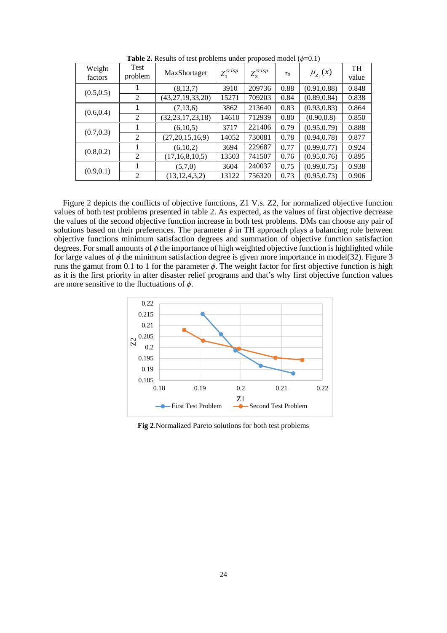<span id="page-8-0"></span>

| Weight<br>factors | Test<br>problem | MaxShortaget         | $Z_1^{crisp}$ | $Z_2^{crisp}$ | $\tau_0$ | $\mu_{Z_i}(x)$ | <b>TH</b><br>value |
|-------------------|-----------------|----------------------|---------------|---------------|----------|----------------|--------------------|
| (0.5, 0.5)        |                 | (8, 13, 7)           | 3910          | 209736        | 0.88     | (0.91, 0.88)   | 0.848              |
|                   | 2               | (43, 27, 19, 33, 20) | 15271         | 709203        | 0.84     | (0.89, 0.84)   | 0.838              |
| (0.6, 0.4)        |                 | (7, 13, 6)           | 3862          | 213640        | 0.83     | (0.93, 0.83)   | 0.864              |
|                   | 2               | (32, 23, 17, 23, 18) | 14610         | 712939        | 0.80     | (0.90, 0.8)    | 0.850              |
| (0.7, 0.3)        |                 | (6,10,5)             | 3717          | 221406        | 0.79     | (0.95, 0.79)   | 0.888              |
|                   | $\overline{2}$  | (27,20,15,16,9)      | 14052         | 730081        | 0.78     | (0.94, 0.78)   | 0.877              |
| (0.8, 0.2)        |                 | (6,10,2)             | 3694          | 229687        | 0.77     | (0.99, 0.77)   | 0.924              |
|                   | $\overline{2}$  | (17, 16, 8, 10, 5)   | 13503         | 741507        | 0.76     | (0.95, 0.76)   | 0.895              |
| (0.9, 0.1)        |                 | (5,7,0)              | 3604          | 240037        | 0.75     | (0.99, 0.75)   | 0.938              |
|                   | 2               | (13, 12, 4, 3, 2)    | 13122         | 756320        | 0.73     | (0.95, 0.73)   | 0.906              |

**Table 2.** Results of test problems under proposed model  $(\phi=0.1)$ 

[Figure 2](#page-8-1) depicts the conflicts of objective functions, Z1 V.s. Z2, for normalized objective function values of both test problems presented in [table 2.](#page-8-0) As expected, as the values of first objective decrease the values of the second objective function increase in both test problems. DMs can choose any pair of solutions based on their preferences. The parameter  $\phi$  in TH approach plays a balancing role between objective functions minimum satisfaction degrees and summation of objective function satisfaction degrees. For small amounts of *ϕ* the importance of high weighted objective function is highlighted while for large values of  $\phi$  the minimum satisfaction degree is given more importance in model(32)[. Figure 3](#page-9-0) runs the gamut from 0.1 to 1 for the parameter *ϕ*. The weight factor for first objective function is high as it is the first priority in after disaster relief programs and that's why first objective function values are more sensitive to the fluctuations of *ϕ*.



<span id="page-8-1"></span>**Fig 2**.Normalized Pareto solutions for both test problems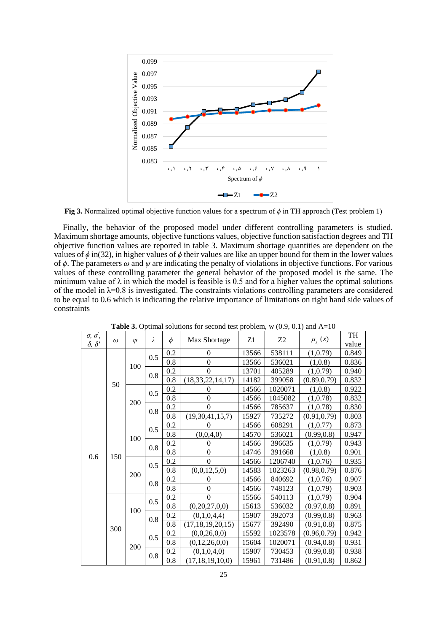

<span id="page-9-0"></span>**Fig 3.** Normalized optimal objective function values for a spectrum of *ϕ* in TH approach (Test problem 1)

Finally, the behavior of the proposed model under different controlling parameters is studied. Maximum shortage amounts, objective functions values, objective function satisfaction degrees and TH objective function values are reported in [table 3.](#page-9-1) Maximum shortage quantities are dependent on the values of  $\phi$  in(32), in higher values of  $\phi$  their values are like an upper bound for them in the lower values of *ϕ*. The parameters *ω* and *ψ* are indicating the penalty of violations in objective functions. For various values of these controlling parameter the general behavior of the proposed model is the same. The minimum value of  $\lambda$  in which the model is feasible is 0.5 and for a higher values the optimal solutions of the model in  $\lambda$ =0.8 is investigated. The constraints violations controlling parameters are considered to be equal to 0.6 which is indicating the relative importance of limitations on right hand side values of constraints

<span id="page-9-1"></span>

| $\sigma$ , $\sigma$ ,   | $\omega$ | $\psi$ | λ   | $\phi$         | Max Shortage         | Z1     | Z <sub>2</sub> | $\mu_{z}$ (x) | TH    |
|-------------------------|----------|--------|-----|----------------|----------------------|--------|----------------|---------------|-------|
| $\delta$ , $\delta'$    |          |        |     |                |                      |        |                |               | value |
| 50<br>0.6<br>150<br>300 |          | 0.5    | 0.2 | $\overline{0}$ | 13566                | 538111 | (1,0.79)       | 0.849         |       |
|                         |          | 100    |     | 0.8            | $\theta$             | 13566  | 536021         | (1,0.8)       | 0.836 |
|                         |          |        | 0.8 | 0.2            | $\theta$             | 13701  | 405289         | (1,0.79)      | 0.940 |
|                         |          |        |     | 0.8            | (18, 33, 22, 14, 17) | 14182  | 399058         | (0.89, 0.79)  | 0.832 |
|                         |          | 200    | 0.5 | 0.2            | 0                    | 14566  | 1020071        | (1,0.8)       | 0.922 |
|                         |          |        |     | 0.8            | $\theta$             | 14566  | 1045082        | (1,0.78)      | 0.832 |
|                         |          |        | 0.8 | 0.2            | $\theta$             | 14566  | 785637         | (1,0.78)      | 0.830 |
|                         |          |        |     | 0.8            | (19, 30, 41, 15, 7)  | 15927  | 735272         | (0.91, 0.79)  | 0.803 |
|                         |          | 100    | 0.5 | 0.2            | 0                    | 14566  | 608291         | (1, 0.77)     | 0.873 |
|                         |          |        |     | 0.8            | (0,0,4,0)            | 14570  | 536021         | (0.99, 0.8)   | 0.947 |
|                         |          |        | 0.8 | 0.2            | 0                    | 14566  | 396635         | (1,0.79)      | 0.943 |
|                         |          |        |     | 0.8            | $\overline{0}$       | 14746  | 391668         | (1,0.8)       | 0.901 |
|                         |          | 200    | 0.5 | 0.2            | $\theta$             | 14566  | 1206740        | (1,0.76)      | 0.935 |
|                         |          |        |     | 0.8            | (0,0,12,5,0)         | 14583  | 1023263        | (0.98, 0.79)  | 0.876 |
|                         |          |        | 0.8 | 0.2            | 0                    | 14566  | 840692         | (1,0.76)      | 0.907 |
|                         |          |        |     | 0.8            | $\theta$             | 14566  | 748123         | (1,0.79)      | 0.903 |
|                         |          | 100    | 0.5 | 0.2            | $\theta$             | 15566  | 540113         | (1,0.79)      | 0.904 |
|                         |          |        |     | 0.8            | (0,20,27,0,0)        | 15613  | 536032         | (0.97, 0.8)   | 0.891 |
|                         |          |        | 0.8 | 0.2            | (0,1,0,4,4)          | 15907  | 392073         | (0.99, 0.8)   | 0.963 |
|                         |          |        |     | 0.8            | (17, 18, 19, 20, 15) | 15677  | 392490         | (0.91, 0.8)   | 0.875 |
|                         |          | 200    | 0.5 | 0.2            | (0,0,26,0,0)         | 15592  | 1023578        | (0.96, 0.79)  | 0.942 |
|                         |          |        |     | 0.8            | (0,12,26,0,0)        | 15604  | 1020071        | (0.94, 0.8)   | 0.931 |
|                         |          |        | 0.8 | 0.2            | (0,1,0,4,0)          | 15907  | 730453         | (0.99, 0.8)   | 0.938 |
|                         |          |        |     | 0.8            | (17, 18, 19, 10, 0)  | 15961  | 731486         | (0.91, 0.8)   | 0.862 |

**Table 3.** Optimal solutions for second test problem,  $w(0.9, 0.1)$  and  $A=10$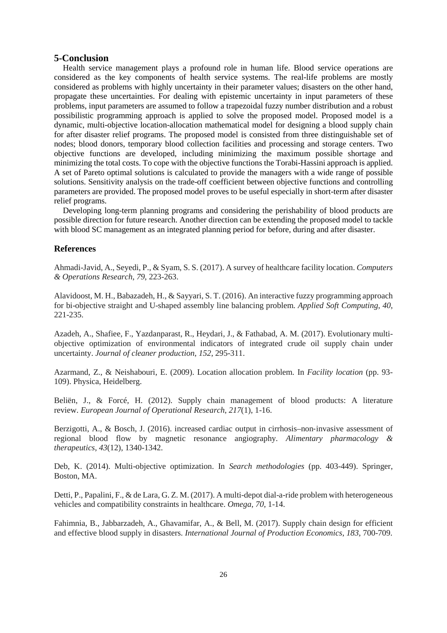#### **5-Conclusion**

Health service management plays a profound role in human life. Blood service operations are considered as the key components of health service systems. The real-life problems are mostly considered as problems with highly uncertainty in their parameter values; disasters on the other hand, propagate these uncertainties. For dealing with epistemic uncertainty in input parameters of these problems, input parameters are assumed to follow a trapezoidal fuzzy number distribution and a robust possibilistic programming approach is applied to solve the proposed model. Proposed model is a dynamic, multi-objective location-allocation mathematical model for designing a blood supply chain for after disaster relief programs. The proposed model is consisted from three distinguishable set of nodes; blood donors, temporary blood collection facilities and processing and storage centers. Two objective functions are developed, including minimizing the maximum possible shortage and minimizing the total costs. To cope with the objective functions the Torabi-Hassini approach is applied. A set of Pareto optimal solutions is calculated to provide the managers with a wide range of possible solutions. Sensitivity analysis on the trade-off coefficient between objective functions and controlling parameters are provided. The proposed model proves to be useful especially in short-term after disaster relief programs.

Developing long-term planning programs and considering the perishability of blood products are possible direction for future research. Another direction can be extending the proposed model to tackle with blood SC management as an integrated planning period for before, during and after disaster.

#### **References**

Ahmadi-Javid, A., Seyedi, P., & Syam, S. S. (2017). A survey of healthcare facility location. *Computers & Operations Research*, *79*, 223-263.

Alavidoost, M. H., Babazadeh, H., & Sayyari, S. T. (2016). An interactive fuzzy programming approach for bi-objective straight and U-shaped assembly line balancing problem. *Applied Soft Computing*, *40*, 221-235.

Azadeh, A., Shafiee, F., Yazdanparast, R., Heydari, J., & Fathabad, A. M. (2017). Evolutionary multiobjective optimization of environmental indicators of integrated crude oil supply chain under uncertainty. *Journal of cleaner production*, *152*, 295-311.

Azarmand, Z., & Neishabouri, E. (2009). Location allocation problem. In *Facility location* (pp. 93- 109). Physica, Heidelberg.

Beliën, J., & Forcé, H. (2012). Supply chain management of blood products: A literature review. *European Journal of Operational Research*, *217*(1), 1-16.

Berzigotti, A., & Bosch, J. (2016). increased cardiac output in cirrhosis–non‐invasive assessment of regional blood flow by magnetic resonance angiography. *Alimentary pharmacology & therapeutics*, *43*(12), 1340-1342.

Deb, K. (2014). Multi-objective optimization. In *Search methodologies* (pp. 403-449). Springer, Boston, MA.

Detti, P., Papalini, F., & de Lara, G. Z. M. (2017). A multi-depot dial-a-ride problem with heterogeneous vehicles and compatibility constraints in healthcare. *Omega*, *70*, 1-14.

Fahimnia, B., Jabbarzadeh, A., Ghavamifar, A., & Bell, M. (2017). Supply chain design for efficient and effective blood supply in disasters. *International Journal of Production Economics*, *183*, 700-709.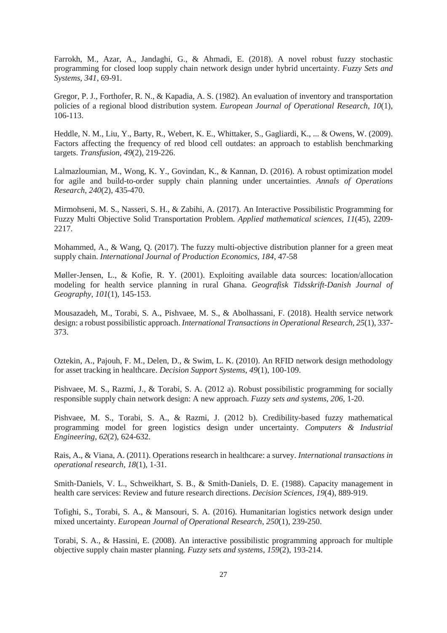Farrokh, M., Azar, A., Jandaghi, G., & Ahmadi, E. (2018). A novel robust fuzzy stochastic programming for closed loop supply chain network design under hybrid uncertainty. *Fuzzy Sets and Systems*, *341*, 69-91.

Gregor, P. J., Forthofer, R. N., & Kapadia, A. S. (1982). An evaluation of inventory and transportation policies of a regional blood distribution system. *European Journal of Operational Research*, *10*(1), 106-113.

Heddle, N. M., Liu, Y., Barty, R., Webert, K. E., Whittaker, S., Gagliardi, K., ... & Owens, W. (2009). Factors affecting the frequency of red blood cell outdates: an approach to establish benchmarking targets. *Transfusion*, *49*(2), 219-226.

Lalmazloumian, M., Wong, K. Y., Govindan, K., & Kannan, D. (2016). A robust optimization model for agile and build-to-order supply chain planning under uncertainties. *Annals of Operations Research*, *240*(2), 435-470.

Mirmohseni, M. S., Nasseri, S. H., & Zabihi, A. (2017). An Interactive Possibilistic Programming for Fuzzy Multi Objective Solid Transportation Problem. *Applied mathematical sciences*, *11*(45), 2209- 2217.

Mohammed, A., & Wang, Q. (2017). The fuzzy multi-objective distribution planner for a green meat supply chain. *International Journal of Production Economics*, *184*, 47-58

Møller-Jensen, L., & Kofie, R. Y. (2001). Exploiting available data sources: location/allocation modeling for health service planning in rural Ghana. *Geografisk Tidsskrift-Danish Journal of Geography*, *101*(1), 145-153.

Mousazadeh, M., Torabi, S. A., Pishvaee, M. S., & Abolhassani, F. (2018). Health service network design: a robust possibilistic approach. *International Transactions in Operational Research*, *25*(1), 337- 373.

Oztekin, A., Pajouh, F. M., Delen, D., & Swim, L. K. (2010). An RFID network design methodology for asset tracking in healthcare. *Decision Support Systems*, *49*(1), 100-109.

Pishvaee, M. S., Razmi, J., & Torabi, S. A. (2012 a). Robust possibilistic programming for socially responsible supply chain network design: A new approach. *Fuzzy sets and systems*, *206*, 1-20.

Pishvaee, M. S., Torabi, S. A., & Razmi, J. (2012 b). Credibility-based fuzzy mathematical programming model for green logistics design under uncertainty. *Computers & Industrial Engineering*, *62*(2), 624-632.

Rais, A., & Viana, A. (2011). Operations research in healthcare: a survey. *International transactions in operational research*, *18*(1), 1-31.

Smith‐Daniels, V. L., Schweikhart, S. B., & Smith‐Daniels, D. E. (1988). Capacity management in health care services: Review and future research directions. *Decision Sciences*, *19*(4), 889-919.

Tofighi, S., Torabi, S. A., & Mansouri, S. A. (2016). Humanitarian logistics network design under mixed uncertainty. *European Journal of Operational Research*, *250*(1), 239-250.

Torabi, S. A., & Hassini, E. (2008). An interactive possibilistic programming approach for multiple objective supply chain master planning. *Fuzzy sets and systems*, *159*(2), 193-214.